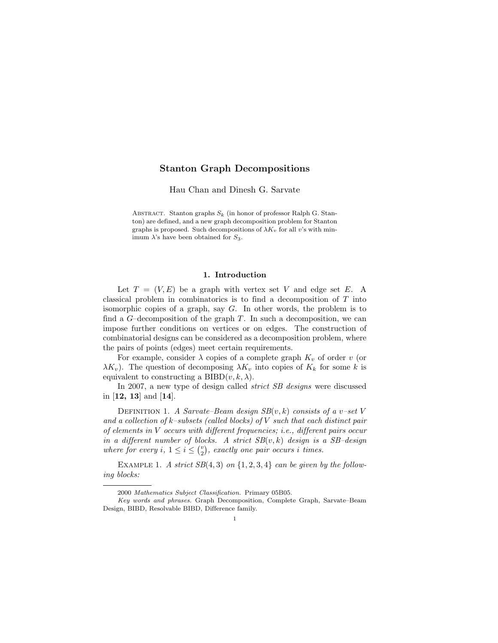## Stanton Graph Decompositions

Hau Chan and Dinesh G. Sarvate

ABSTRACT. Stanton graphs  $S_k$  (in honor of professor Ralph G. Stanton) are defined, and a new graph decomposition problem for Stanton graphs is proposed. Such decompositions of  $\lambda K_v$  for all v's with minimum  $\lambda$ 's have been obtained for  $S_3$ .

### 1. Introduction

Let  $T = (V, E)$  be a graph with vertex set V and edge set E. A classical problem in combinatorics is to find a decomposition of T into isomorphic copies of a graph, say G. In other words, the problem is to find a  $G$ -decomposition of the graph T. In such a decomposition, we can impose further conditions on vertices or on edges. The construction of combinatorial designs can be considered as a decomposition problem, where the pairs of points (edges) meet certain requirements.

For example, consider  $\lambda$  copies of a complete graph  $K_v$  of order v (or  $\lambda K_v$ ). The question of decomposing  $\lambda K_v$  into copies of  $K_k$  for some k is equivalent to constructing a BIBD $(v, k, \lambda)$ .

In 2007, a new type of design called *strict SB designs* were discussed in [12, 13] and [14].

DEFINITION 1. A Sarvate–Beam design  $SB(v, k)$  consists of a v–set V and a collection of  $k$ -subsets (called blocks) of V such that each distinct pair of elements in V occurs with different frequencies; i.e., different pairs occur in a different number of blocks. A strict  $SB(v, k)$  design is a  $SB$ -design where for every i,  $1 \leq i \leq {v \choose 2}$ , exactly one pair occurs i times.

EXAMPLE 1. A strict  $SB(4,3)$  on  $\{1, 2, 3, 4\}$  can be given by the following blocks:

<sup>2000</sup> Mathematics Subject Classification. Primary 05B05.

Key words and phrases. Graph Decomposition, Complete Graph, Sarvate–Beam Design, BIBD, Resolvable BIBD, Difference family.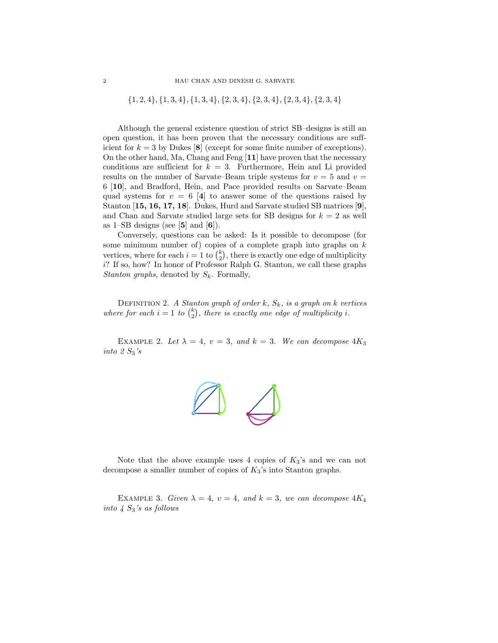$\{1, 2, 4\}, \{1, 3, 4\}, \{1, 3, 4\}, \{2, 3, 4\}, \{2, 3, 4\}, \{2, 3, 4\}, \{2, 3, 4\}$ 

Although the general existence question of strict SB–designs is still an open question, it has been proven that the necessary conditions are sufficient for  $k = 3$  by Dukes [8] (except for some finite number of exceptions). On the other hand, Ma, Chang and Feng [11] have proven that the necessary conditions are sufficient for  $k = 3$ . Furthermore, Hein and Li provided results on the number of Sarvate–Beam triple systems for  $v = 5$  and  $v =$ 6 [10], and Bradford, Hein, and Pace provided results on Sarvate–Beam quad systems for  $v = 6$  [4] to answer some of the questions raised by Stanton [15, 16, 17, 18]. Dukes, Hurd and Sarvate studied SB matrices [9], and Chan and Sarvate studied large sets for SB designs for  $k = 2$  as well as  $1$ –SB designs (see [5] and [6]).

Conversely, questions can be asked: Is it possible to decompose (for some minimum number of) copies of a complete graph into graphs on  $k$ vertices, where for each  $i = 1$  to  $\binom{k}{2}$ , there is exactly one edge of multiplicity  $i$ ? If so, how? In honor of Professor Ralph G. Stanton, we call these graphs Stanton graphs, denoted by  $S_k$ . Formally,

DEFINITION 2. A Stanton graph of order k,  $S_k$ , is a graph on k vertices where for each  $i = 1$  to  $\binom{k}{2}$ , there is exactly one edge of multiplicity i.

EXAMPLE 2. Let  $\lambda = 4$ ,  $v = 3$ , and  $k = 3$ . We can decompose  $4K_3$ into  $2 S_3$ 's



Note that the above example uses 4 copies of  $K_3$ 's and we can not decompose a smaller number of copies of  $K_3$ 's into Stanton graphs.

EXAMPLE 3. Given  $\lambda = 4$ ,  $v = 4$ , and  $k = 3$ , we can decompose  $4K_4$ into  $4 S_3$ 's as follows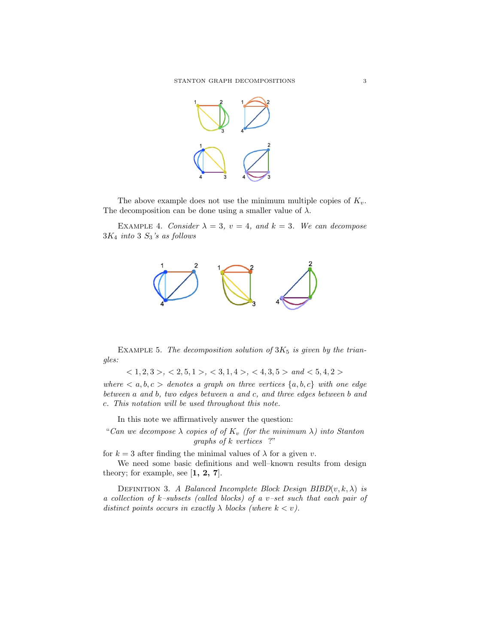

The above example does not use the minimum multiple copies of  $K_v$ . The decomposition can be done using a smaller value of  $\lambda$ .

EXAMPLE 4. Consider  $\lambda = 3$ ,  $v = 4$ , and  $k = 3$ . We can decompose  $3K_4$  into 3  $S_3$ 's as follows



EXAMPLE 5. The decomposition solution of  $3K_5$  is given by the triangles:

 $< 1, 2, 3 > 1, 2, 5, 1 > 1, 3, 4 > 1, 4 > 1, 5, 5 > 1, 4 < 5, 4, 2 > 1$ 

where  $\langle a, b, c \rangle$  denotes a graph on three vertices  $\{a, b, c\}$  with one edge between a and b, two edges between a and c, and three edges between b and c. This notation will be used throughout this note.

In this note we affirmatively answer the question:

"Can we decompose  $\lambda$  copies of of  $K_v$  (for the minimum  $\lambda$ ) into Stanton graphs of k vertices ?"

for  $k = 3$  after finding the minimal values of  $\lambda$  for a given v.

We need some basic definitions and well–known results from design theory; for example, see  $[1, 2, 7]$ .

DEFINITION 3. A Balanced Incomplete Block Design BIBD $(v, k, \lambda)$  is a collection of k–subsets (called blocks) of a v–set such that each pair of distinct points occurs in exactly  $\lambda$  blocks (where  $k < v$ ).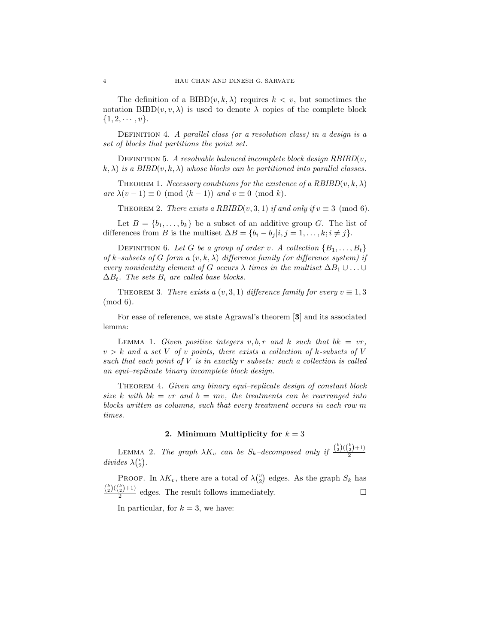The definition of a  $BIBD(v, k, \lambda)$  requires  $k < v$ , but sometimes the notation BIBD $(v, v, \lambda)$  is used to denote  $\lambda$  copies of the complete block  $\{1, 2, \cdots, v\}.$ 

DEFINITION 4. A parallel class (or a resolution class) in a design is a set of blocks that partitions the point set.

DEFINITION 5. A resolvable balanced incomplete block design  $RBIBD(v,$  $(k, \lambda)$  is a BIBD(v, k,  $\lambda$ ) whose blocks can be partitioned into parallel classes.

THEOREM 1. Necessary conditions for the existence of a  $RBIBD(v, k, \lambda)$ are  $\lambda(v-1) \equiv 0 \pmod{(k-1)}$  and  $v \equiv 0 \pmod{k}$ .

THEOREM 2. There exists a RBIBD(v, 3, 1) if and only if  $v \equiv 3 \pmod{6}$ .

Let  $B = \{b_1, \ldots, b_k\}$  be a subset of an additive group G. The list of differences from B is the multiset  $\Delta B = \{b_i - b_j | i, j = 1, \ldots, k; i \neq j\}.$ 

DEFINITION 6. Let G be a group of order v. A collection  $\{B_1, \ldots, B_t\}$ of k–subsets of G form a  $(v, k, \lambda)$  difference family (or difference system) if every nonidentity element of G occurs  $\lambda$  times in the multiset  $\Delta B_1 \cup \ldots \cup$  $\Delta B_t$ . The sets  $B_i$  are called base blocks.

THEOREM 3. There exists a  $(v, 3, 1)$  difference family for every  $v \equiv 1, 3$ (mod 6).

For ease of reference, we state Agrawal's theorem [3] and its associated lemma:

LEMMA 1. Given positive integers  $v, b, r$  and k such that  $bk = vr$ ,  $v > k$  and a set V of v points, there exists a collection of k-subsets of V such that each point of  $V$  is in exactly r subsets: such a collection is called an equi–replicate binary incomplete block design.

THEOREM 4. Given any binary equi–replicate design of constant block size k with  $bk = vr$  and  $b = mv$ , the treatments can be rearranged into blocks written as columns, such that every treatment occurs in each row m times.

### 2. Minimum Multiplicity for  $k = 3$

LEMMA 2. The graph  $\lambda K_v$  can be  $S_k$ -decomposed only if  $\frac{{k \choose 2}({k \choose 2}+1)}{2}$ divides  $\lambda\binom{v}{2}$ .

PROOF. In  $\lambda K_v$ , there are a total of  $\lambda {\binom{v}{2}}$  edges. As the graph  $S_k$  has  $\frac{{k \choose 2}({k \choose 2}+1)}{2}$  edges. The result follows immediately.

In particular, for  $k = 3$ , we have: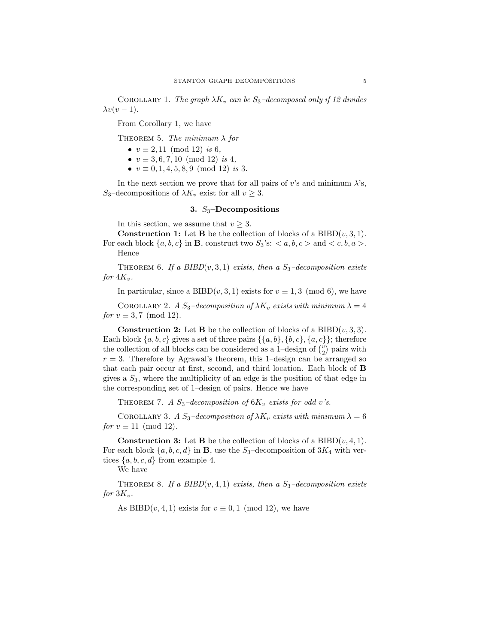COROLLARY 1. The graph  $\lambda K_v$  can be  $S_3$ -decomposed only if 12 divides  $\lambda v(v-1)$ .

From Corollary 1, we have

THEOREM 5. The minimum  $\lambda$  for

- $v \equiv 2, 11 \pmod{12}$  is 6,
- $v \equiv 3, 6, 7, 10 \pmod{12}$  is 4,
- $v \equiv 0, 1, 4, 5, 8, 9 \pmod{12}$  is 3.

In the next section we prove that for all pairs of v's and minimum  $\lambda$ 's, S<sub>3</sub>–decompositions of  $\lambda K_v$  exist for all  $v \geq 3$ .

# 3.  $S_3$ -Decompositions

In this section, we assume that  $v \geq 3$ .

**Construction 1:** Let **B** be the collection of blocks of a  $BIBD(v, 3, 1)$ . For each block  $\{a, b, c\}$  in **B**, construct two  $S_3$ 's:  $\langle a, b, c \rangle$  and  $\langle c, b, a \rangle$ . Hence

THEOREM 6. If a BIBD $(v, 3, 1)$  exists, then a  $S_3$ -decomposition exists for  $4K_v$ .

In particular, since a BIBD $(v, 3, 1)$  exists for  $v \equiv 1, 3 \pmod{6}$ , we have

COROLLARY 2. A  $S_3$ -decomposition of  $\lambda K_v$  exists with minimum  $\lambda = 4$ for  $v \equiv 3, 7 \pmod{12}$ .

**Construction 2:** Let **B** be the collection of blocks of a  $BIBD(v, 3, 3)$ . Each block  $\{a, b, c\}$  gives a set of three pairs  $\{\{a, b\}, \{b, c\}, \{a, c\}\}\;$ ; therefore the collection of all blocks can be considered as a 1–design of  $\binom{v}{2}$  pairs with  $r = 3$ . Therefore by Agrawal's theorem, this 1-design can be arranged so that each pair occur at first, second, and third location. Each block of B gives a  $S_3$ , where the multiplicity of an edge is the position of that edge in the corresponding set of 1–design of pairs. Hence we have

THEOREM 7. A  $S_3$ -decomposition of  $6K_v$  exists for odd v's.

COROLLARY 3. A  $S_3$ -decomposition of  $\lambda K_v$  exists with minimum  $\lambda = 6$ for  $v \equiv 11 \pmod{12}$ .

**Construction 3:** Let **B** be the collection of blocks of a  $BIBD(v, 4, 1)$ . For each block  $\{a, b, c, d\}$  in **B**, use the S<sub>3</sub>–decomposition of 3K<sub>4</sub> with vertices  $\{a, b, c, d\}$  from example 4.

We have

THEOREM 8. If a BIBD $(v, 4, 1)$  exists, then a  $S_3$ -decomposition exists for  $3K_v$ .

As BIBD $(v, 4, 1)$  exists for  $v \equiv 0, 1 \pmod{12}$ , we have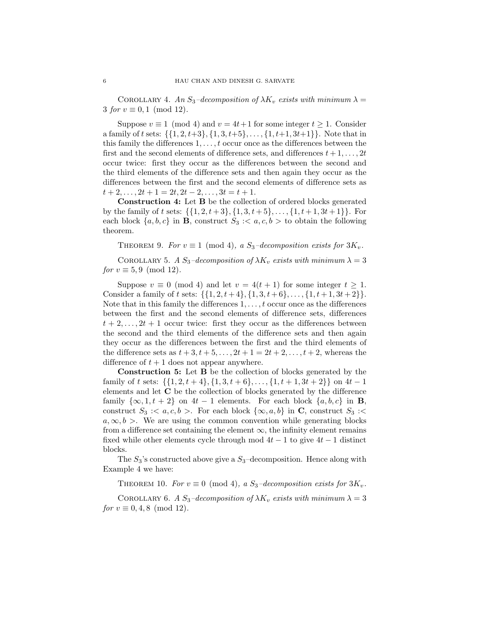COROLLARY 4. An  $S_3$ -decomposition of  $\lambda K_v$  exists with minimum  $\lambda =$ 3 for  $v \equiv 0, 1 \pmod{12}$ .

Suppose  $v \equiv 1 \pmod{4}$  and  $v = 4t+1$  for some integer  $t \ge 1$ . Consider a family of t sets:  $\{\{1, 2, t+3\}, \{1, 3, t+5\}, \ldots, \{1, t+1, 3t+1\}\}\.$  Note that in this family the differences  $1, \ldots, t$  occur once as the differences between the first and the second elements of difference sets, and differences  $t + 1, \ldots, 2t$ occur twice: first they occur as the differences between the second and the third elements of the difference sets and then again they occur as the differences between the first and the second elements of difference sets as  $t + 2, \ldots, 2t + 1 = 2t, 2t - 2, \ldots, 3t = t + 1.$ 

Construction 4: Let B be the collection of ordered blocks generated by the family of t sets:  $\{\{1, 2, t + 3\}, \{1, 3, t + 5\}, \ldots, \{1, t + 1, 3t + 1\}\}\.$  For each block  $\{a, b, c\}$  in **B**, construct  $S_3 \sim a, c, b >$  to obtain the following theorem.

THEOREM 9. For  $v \equiv 1 \pmod{4}$ , a  $S_3$ -decomposition exists for  $3K_v$ .

COROLLARY 5. A  $S_3$ -decomposition of  $\lambda K_v$  exists with minimum  $\lambda = 3$ for  $v \equiv 5.9 \pmod{12}$ .

Suppose  $v \equiv 0 \pmod{4}$  and let  $v = 4(t + 1)$  for some integer  $t \ge 1$ . Consider a family of t sets:  $\{\{1, 2, t + 4\}, \{1, 3, t + 6\}, \ldots, \{1, t + 1, 3t + 2\}\}.$ Note that in this family the differences  $1, \ldots, t$  occur once as the differences between the first and the second elements of difference sets, differences  $t + 2, \ldots, 2t + 1$  occur twice: first they occur as the differences between the second and the third elements of the difference sets and then again they occur as the differences between the first and the third elements of the difference sets as  $t + 3, t + 5, ..., 2t + 1 = 2t + 2, ..., t + 2$ , whereas the difference of  $t + 1$  does not appear anywhere.

Construction 5: Let B be the collection of blocks generated by the family of t sets:  $\{\{1, 2, t + 4\}, \{1, 3, t + 6\}, \ldots, \{1, t + 1, 3t + 2\}\}\$ on  $4t - 1$ elements and let C be the collection of blocks generated by the difference family  $\{\infty, 1, t + 2\}$  on  $4t - 1$  elements. For each block  $\{a, b, c\}$  in **B**, construct  $S_3 \, \text{::} \, \langle a, c, b \rangle$ . For each block  $\{\infty, a, b\}$  in C, construct  $S_3 \, \text{::} \, \langle a, b, d \rangle$  $a, \infty, b >$ . We are using the common convention while generating blocks from a difference set containing the element  $\infty$ , the infinity element remains fixed while other elements cycle through mod  $4t - 1$  to give  $4t - 1$  distinct blocks.

The  $S_3$ 's constructed above give a  $S_3$ -decomposition. Hence along with Example 4 we have:

THEOREM 10. For  $v \equiv 0 \pmod{4}$ , a  $S_3$ -decomposition exists for  $3K_v$ .

COROLLARY 6. A  $S_3$ -decomposition of  $\lambda K_v$  exists with minimum  $\lambda = 3$ for  $v \equiv 0, 4, 8 \pmod{12}$ .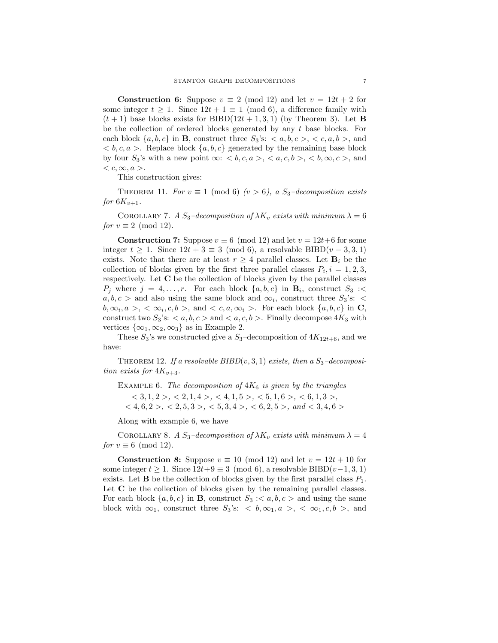**Construction 6:** Suppose  $v \equiv 2 \pmod{12}$  and let  $v = 12t + 2$  for some integer  $t \geq 1$ . Since  $12t + 1 \equiv 1 \pmod{6}$ , a difference family with  $(t + 1)$  base blocks exists for BIBD(12t + 1, 3, 1) (by Theorem 3). Let **B** be the collection of ordered blocks generated by any  $t$  base blocks. For each block  $\{a, b, c\}$  in **B**, construct three  $S_3$ 's:  $\langle a, b, c \rangle$ ,  $\langle c, a, b \rangle$ , and  $$ by four  $S_3$ 's with a new point  $\infty$ : **,**  $$ **,**  $**, \infty, c >**$ **, and**  $\langle c, \infty, a \rangle.$ 

This construction gives:

THEOREM 11. For  $v \equiv 1 \pmod{6}$  ( $v > 6$ ), a S<sub>3</sub>-decomposition exists for  $6K_{v+1}$ .

COROLLARY 7. A  $S_3$ -decomposition of  $\lambda K_v$  exists with minimum  $\lambda = 6$ for  $v \equiv 2 \pmod{12}$ .

**Construction 7:** Suppose  $v \equiv 6 \pmod{12}$  and let  $v = 12t+6$  for some integer  $t \geq 1$ . Since  $12t + 3 \equiv 3 \pmod{6}$ , a resolvable BIBD $(v-3,3,1)$ exists. Note that there are at least  $r \geq 4$  parallel classes. Let  $\mathbf{B}_i$  be the collection of blocks given by the first three parallel classes  $P_i$ ,  $i = 1, 2, 3$ , respectively. Let C be the collection of blocks given by the parallel classes  $P_j$  where  $j = 4, \ldots, r$ . For each block  $\{a, b, c\}$  in  $\mathbf{B}_i$ , construct  $S_3$  :  $a, b, c >$  and also using the same block and  $\infty_i$ , construct three  $S_3$ 's: <  $b, \infty_i, a >, < \infty_i, c, b >$ , and  $< c, a, \infty_i >$ . For each block  $\{a, b, c\}$  in C, construct two  $S_3$ 's:  $\langle a, b, c \rangle$  and  $\langle a, c, b \rangle$ . Finally decompose  $4K_3$  with vertices  $\{\infty_1, \infty_2, \infty_3\}$  as in Example 2.

These  $S_3$ 's we constructed give a  $S_3$ -decomposition of  $4K_{12t+6}$ , and we have:

THEOREM 12. If a resolvable  $BIBD(v, 3, 1)$  exists, then a  $S_3$ -decomposition exists for  $4K_{v+3}$ .

EXAMPLE 6. The decomposition of  $4K<sub>6</sub>$  is given by the triangles  $< 3, 1, 2>, < 2, 1, 4>, < 4, 1, 5>, < 5, 1, 6>, < 6, 1, 3,$ 

 $<$  4, 6, 2 >,  $<$  2, 5, 3 >,  $<$  5, 3, 4 >,  $<$  6, 2, 5 >, and  $<$  3, 4, 6 >

Along with example 6, we have

COROLLARY 8. A  $S_3$ -decomposition of  $\lambda K_v$  exists with minimum  $\lambda = 4$ for  $v \equiv 6 \pmod{12}$ .

**Construction 8:** Suppose  $v \equiv 10 \pmod{12}$  and let  $v = 12t + 10$  for some integer  $t \geq 1$ . Since  $12t+9 \equiv 3 \pmod{6}$ , a resolvable BIBD $(v-1, 3, 1)$ exists. Let **B** be the collection of blocks given by the first parallel class  $P_1$ . Let  $C$  be the collection of blocks given by the remaining parallel classes. For each block  $\{a, b, c\}$  in **B**, construct  $S_3 \leq a, b, c >$  and using the same block with  $\infty_1$ , construct three  $S_3$ 's:  $\lt b, \infty_1, a > \lt \infty_1, c, b >$ , and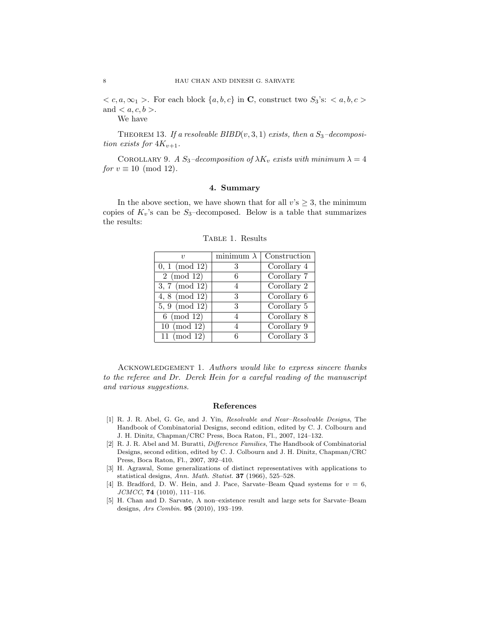$c, a, \infty$ <sub>1</sub> >. For each block  $\{a, b, c\}$  in **C**, construct two  $S_3$ 's:  $a, b, c$  > and  $\langle a, c, b \rangle$ .

We have

THEOREM 13. If a resolvable  $BIBD(v, 3, 1)$  exists, then a  $S_3$ -decomposition exists for  $4K_{v+1}$ .

COROLLARY 9. A  $S_3$ -decomposition of  $\lambda K_v$  exists with minimum  $\lambda = 4$ for  $v \equiv 10 \pmod{12}$ .

### 4. Summary

In the above section, we have shown that for all  $v$ 's  $\geq 3$ , the minimum copies of  $K_v$ 's can be  $S_3$ -decomposed. Below is a table that summarizes the results:

|                            | minimum $\lambda$ | Construction                      |
|----------------------------|-------------------|-----------------------------------|
| $0, 1 \pmod{12}$           | 3                 | Corollary 4                       |
| $2 \pmod{12}$              | 6                 | Corollary 7                       |
| $3, 7 \pmod{12}$           | 4                 | Corollary 2                       |
| 4, 8 (mod $\overline{12)}$ | 3                 | $\overline{\text{Corollary }6}$   |
| $5, 9 \pmod{12}$           | 3                 | Corollary 5                       |
| $6 \pmod{12}$              | 4                 | Corollary 8                       |
| $10 \pmod{12}$             |                   | $\overline{\text{Corollary } } 9$ |
| $11 \pmod{12}$             | б                 | Corollary 3                       |

Table 1. Results

ACKNOWLEDGEMENT 1. Authors would like to express sincere thanks to the referee and Dr. Derek Hein for a careful reading of the manuscript and various suggestions.

### References

- [1] R. J. R. Abel, G. Ge, and J. Yin, Resolvable and Near–Resolvable Designs, The Handbook of Combinatorial Designs, second edition, edited by C. J. Colbourn and J. H. Dinitz, Chapman/CRC Press, Boca Raton, Fl., 2007, 124–132.
- [2] R. J. R. Abel and M. Buratti, Difference Families, The Handbook of Combinatorial Designs, second edition, edited by C. J. Colbourn and J. H. Dinitz, Chapman/CRC Press, Boca Raton, Fl., 2007, 392–410.
- [3] H. Agrawal, Some generalizations of distinct representatives with applications to statistical designs, Ann. Math. Statist. 37 (1966), 525-528.
- [4] B. Bradford, D. W. Hein, and J. Pace, Sarvate–Beam Quad systems for  $v = 6$ ,  $JCMCC$ , **74** (1010), 111-116.
- [5] H. Chan and D. Sarvate, A non–existence result and large sets for Sarvate–Beam designs, Ars Combin. 95 (2010), 193–199.